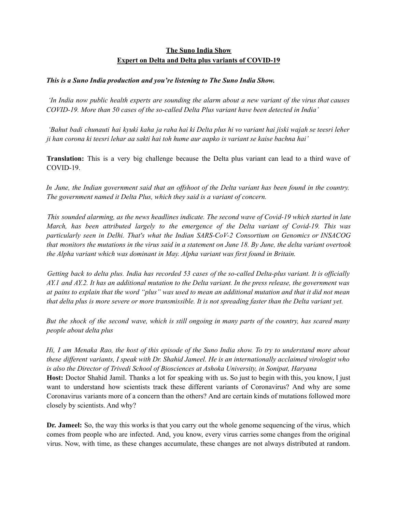## **The Suno India Show Expert on Delta and Delta plus variants of COVID-19**

## *This is a Suno India production and you're listening to The Suno India Show.*

In India now public health experts are sounding the alarm about a new variant of the virus that causes *COVID-19. More than 50 cases of the so-called Delta Plus variant have been detected in India'*

'Bahut badi chunauti hai kyuki kaha ja raha hai ki Delta plus hi vo variant hai jiski wajah se teesri leher ji han corona ki teesri lehar aa sakti hai toh hume aur aapko is variant se kaise bachna hai'

**Translation:** This is a very big challenge because the Delta plus variant can lead to a third wave of COVID-19.

In June, the Indian government said that an offshoot of the Delta variant has been found in the country. *The government named it Delta Plus, which they said is a variant of concern.*

*This sounded alarming, as the news headlines indicate. The second wave of Covid-19 which started in late March, has been attributed largely to the emergence of the Delta variant of Covid-19. This was particularly seen in Delhi. That's what the Indian SARS-CoV-2 Consortium on Genomics or INSACOG* that monitors the mutations in the virus said in a statement on June 18. By June, the delta variant overtook *the Alpha variant which was dominant in May. Alpha variant was first found in Britain.*

Getting back to delta plus. India has recorded 53 cases of the so-called Delta-plus variant. It is officially AY, 1 and AY, 2. It has an additional mutation to the Delta variant. In the press release, the government was at pains to explain that the word "plus" was used to mean an additional mutation and that it did not mean that delta plus is more severe or more transmissible. It is not spreading faster than the Delta variant yet.

But the shock of the second wave, which is still ongoing in many parts of the country, has scared many *people about delta plus*

Hi, I am Menaka Rao, the host of this episode of the Suno India show. To try to understand more about these different variants, I speak with Dr. Shahid Jameel. He is an internationally acclaimed virologist who *is also the Director of Trivedi School of Biosciences at Ashoka University, in Sonipat, Haryana* **Host:** Doctor Shahid Jamil. Thanks a lot for speaking with us. So just to begin with this, you know, I just want to understand how scientists track these different variants of Coronavirus? And why are some Coronavirus variants more of a concern than the others? And are certain kinds of mutations followed more closely by scientists. And why?

**Dr. Jameel:** So, the way this works is that you carry out the whole genome sequencing of the virus, which comes from people who are infected. And, you know, every virus carries some changes from the original virus. Now, with time, as these changes accumulate, these changes are not always distributed at random.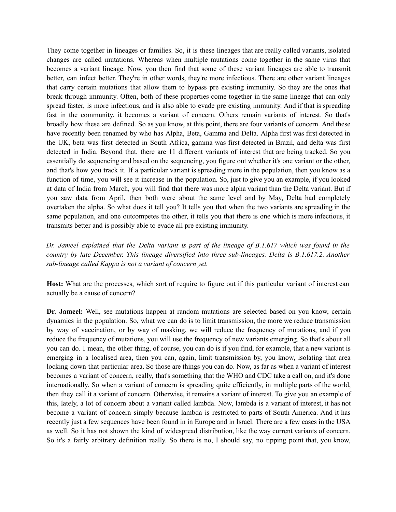They come together in lineages or families. So, it is these lineages that are really called variants, isolated changes are called mutations. Whereas when multiple mutations come together in the same virus that becomes a variant lineage. Now, you then find that some of these variant lineages are able to transmit better, can infect better. They're in other words, they're more infectious. There are other variant lineages that carry certain mutations that allow them to bypass pre existing immunity. So they are the ones that break through immunity. Often, both of these properties come together in the same lineage that can only spread faster, is more infectious, and is also able to evade pre existing immunity. And if that is spreading fast in the community, it becomes a variant of concern. Others remain variants of interest. So that's broadly how these are defined. So as you know, at this point, there are four variants of concern. And these have recently been renamed by who has Alpha, Beta, Gamma and Delta. Alpha first was first detected in the UK, beta was first detected in South Africa, gamma was first detected in Brazil, and delta was first detected in India. Beyond that, there are 11 different variants of interest that are being tracked. So you essentially do sequencing and based on the sequencing, you figure out whether it's one variant or the other, and that's how you track it. If a particular variant is spreading more in the population, then you know as a function of time, you will see it increase in the population. So, just to give you an example, if you looked at data of India from March, you will find that there was more alpha variant than the Delta variant. But if you saw data from April, then both were about the same level and by May, Delta had completely overtaken the alpha. So what does it tell you? It tells you that when the two variants are spreading in the same population, and one outcompetes the other, it tells you that there is one which is more infectious, it transmits better and is possibly able to evade all pre existing immunity.

Dr. Jameel explained that the Delta variant is part of the lineage of  $B.1.617$  which was found in the *country by late December. This lineage diversified into three sub-lineages. Delta is B.1.617.2. Another sub-lineage called Kappa is not a variant of concern yet.*

**Host:** What are the processes, which sort of require to figure out if this particular variant of interest can actually be a cause of concern?

**Dr. Jameel:** Well, see mutations happen at random mutations are selected based on you know, certain dynamics in the population. So, what we can do is to limit transmission, the more we reduce transmission by way of vaccination, or by way of masking, we will reduce the frequency of mutations, and if you reduce the frequency of mutations, you will use the frequency of new variants emerging. So that's about all you can do. I mean, the other thing, of course, you can do is if you find, for example, that a new variant is emerging in a localised area, then you can, again, limit transmission by, you know, isolating that area locking down that particular area. So those are things you can do. Now, as far as when a variant of interest becomes a variant of concern, really, that's something that the WHO and CDC take a call on, and it's done internationally. So when a variant of concern is spreading quite efficiently, in multiple parts of the world, then they call it a variant of concern. Otherwise, it remains a variant of interest. To give you an example of this, lately, a lot of concern about a variant called lambda. Now, lambda is a variant of interest, it has not become a variant of concern simply because lambda is restricted to parts of South America. And it has recently just a few sequences have been found in in Europe and in Israel. There are a few cases in the USA as well. So it has not shown the kind of widespread distribution, like the way current variants of concern. So it's a fairly arbitrary definition really. So there is no, I should say, no tipping point that, you know,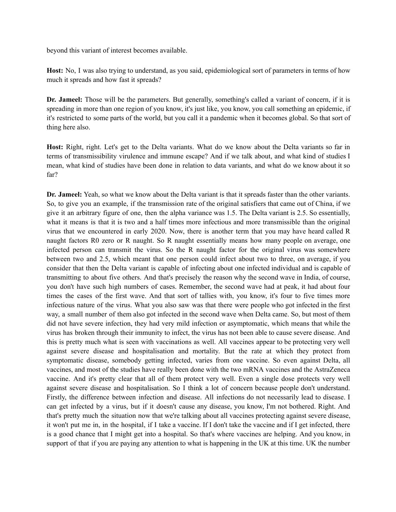beyond this variant of interest becomes available.

**Host:** No, I was also trying to understand, as you said, epidemiological sort of parameters in terms of how much it spreads and how fast it spreads?

**Dr. Jameel:** Those will be the parameters. But generally, something's called a variant of concern, if it is spreading in more than one region of you know, it's just like, you know, you call something an epidemic, if it's restricted to some parts of the world, but you call it a pandemic when it becomes global. So that sort of thing here also.

**Host:** Right, right. Let's get to the Delta variants. What do we know about the Delta variants so far in terms of transmissibility virulence and immune escape? And if we talk about, and what kind of studies I mean, what kind of studies have been done in relation to data variants, and what do we know about it so far?

**Dr. Jameel:** Yeah, so what we know about the Delta variant is that it spreads faster than the other variants. So, to give you an example, if the transmission rate of the original satisfiers that came out of China, if we give it an arbitrary figure of one, then the alpha variance was 1.5. The Delta variant is 2.5. So essentially, what it means is that it is two and a half times more infectious and more transmissible than the original virus that we encountered in early 2020. Now, there is another term that you may have heard called R naught factors R0 zero or R naught. So R naught essentially means how many people on average, one infected person can transmit the virus. So the R naught factor for the original virus was somewhere between two and 2.5, which meant that one person could infect about two to three, on average, if you consider that then the Delta variant is capable of infecting about one infected individual and is capable of transmitting to about five others. And that's precisely the reason why the second wave in India, of course, you don't have such high numbers of cases. Remember, the second wave had at peak, it had about four times the cases of the first wave. And that sort of tallies with, you know, it's four to five times more infectious nature of the virus. What you also saw was that there were people who got infected in the first way, a small number of them also got infected in the second wave when Delta came. So, but most of them did not have severe infection, they had very mild infection or asymptomatic, which means that while the virus has broken through their immunity to infect, the virus has not been able to cause severe disease. And this is pretty much what is seen with vaccinations as well. All vaccines appear to be protecting very well against severe disease and hospitalisation and mortality. But the rate at which they protect from symptomatic disease, somebody getting infected, varies from one vaccine. So even against Delta, all vaccines, and most of the studies have really been done with the two mRNA vaccines and the AstraZeneca vaccine. And it's pretty clear that all of them protect very well. Even a single dose protects very well against severe disease and hospitalisation. So I think a lot of concern because people don't understand. Firstly, the difference between infection and disease. All infections do not necessarily lead to disease. I can get infected by a virus, but if it doesn't cause any disease, you know, I'm not bothered. Right. And that's pretty much the situation now that we're talking about all vaccines protecting against severe disease, it won't put me in, in the hospital, if I take a vaccine. If I don't take the vaccine and if I get infected, there is a good chance that I might get into a hospital. So that's where vaccines are helping. And you know, in support of that if you are paying any attention to what is happening in the UK at this time. UK the number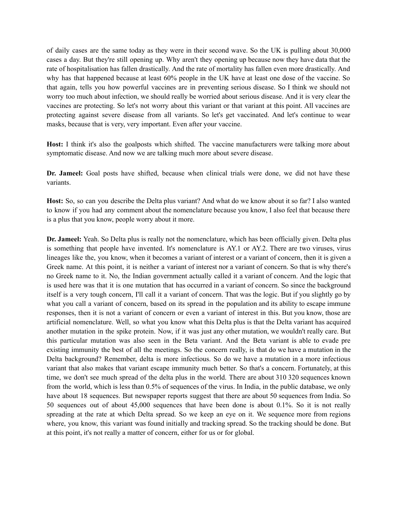of daily cases are the same today as they were in their second wave. So the UK is pulling about 30,000 cases a day. But they're still opening up. Why aren't they opening up because now they have data that the rate of hospitalisation has fallen drastically. And the rate of mortality has fallen even more drastically. And why has that happened because at least 60% people in the UK have at least one dose of the vaccine. So that again, tells you how powerful vaccines are in preventing serious disease. So I think we should not worry too much about infection, we should really be worried about serious disease. And it is very clear the vaccines are protecting. So let's not worry about this variant or that variant at this point. All vaccines are protecting against severe disease from all variants. So let's get vaccinated. And let's continue to wear masks, because that is very, very important. Even after your vaccine.

**Host:** I think it's also the goalposts which shifted. The vaccine manufacturers were talking more about symptomatic disease. And now we are talking much more about severe disease.

**Dr. Jameel:** Goal posts have shifted, because when clinical trials were done, we did not have these variants.

**Host:** So, so can you describe the Delta plus variant? And what do we know about it so far? I also wanted to know if you had any comment about the nomenclature because you know, I also feel that because there is a plus that you know, people worry about it more.

**Dr. Jameel:** Yeah. So Delta plus is really not the nomenclature, which has been officially given. Delta plus is something that people have invented. It's nomenclature is AY.1 or AY.2. There are two viruses, virus lineages like the, you know, when it becomes a variant of interest or a variant of concern, then it is given a Greek name. At this point, it is neither a variant of interest nor a variant of concern. So that is why there's no Greek name to it. No, the Indian government actually called it a variant of concern. And the logic that is used here was that it is one mutation that has occurred in a variant of concern. So since the background itself is a very tough concern, I'll call it a variant of concern. That was the logic. But if you slightly go by what you call a variant of concern, based on its spread in the population and its ability to escape immune responses, then it is not a variant of concern or even a variant of interest in this. But you know, those are artificial nomenclature. Well, so what you know what this Delta plus is that the Delta variant has acquired another mutation in the spike protein. Now, if it was just any other mutation, we wouldn't really care. But this particular mutation was also seen in the Beta variant. And the Beta variant is able to evade pre existing immunity the best of all the meetings. So the concern really, is that do we have a mutation in the Delta background? Remember, delta is more infectious. So do we have a mutation in a more infectious variant that also makes that variant escape immunity much better. So that's a concern. Fortunately, at this time, we don't see much spread of the delta plus in the world. There are about 310 320 sequences known from the world, which is less than 0.5% of sequences of the virus. In India, in the public database, we only have about 18 sequences. But newspaper reports suggest that there are about 50 sequences from India. So 50 sequences out of about 45,000 sequences that have been done is about 0.1%. So it is not really spreading at the rate at which Delta spread. So we keep an eye on it. We sequence more from regions where, you know, this variant was found initially and tracking spread. So the tracking should be done. But at this point, it's not really a matter of concern, either for us or for global.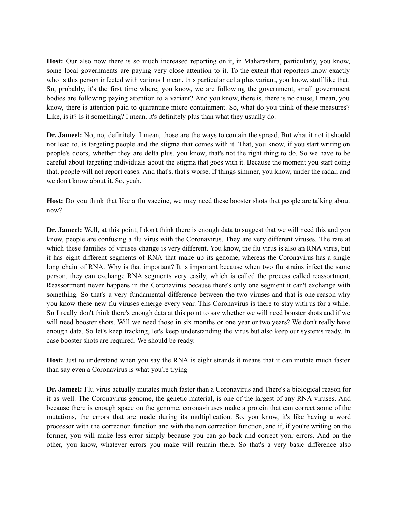**Host:** Our also now there is so much increased reporting on it, in Maharashtra, particularly, you know, some local governments are paying very close attention to it. To the extent that reporters know exactly who is this person infected with various I mean, this particular delta plus variant, you know, stuff like that. So, probably, it's the first time where, you know, we are following the government, small government bodies are following paying attention to a variant? And you know, there is, there is no cause, I mean, you know, there is attention paid to quarantine micro containment. So, what do you think of these measures? Like, is it? Is it something? I mean, it's definitely plus than what they usually do.

**Dr. Jameel:** No, no, definitely. I mean, those are the ways to contain the spread. But what it not it should not lead to, is targeting people and the stigma that comes with it. That, you know, if you start writing on people's doors, whether they are delta plus, you know, that's not the right thing to do. So we have to be careful about targeting individuals about the stigma that goes with it. Because the moment you start doing that, people will not report cases. And that's, that's worse. If things simmer, you know, under the radar, and we don't know about it. So, yeah.

**Host:** Do you think that like a flu vaccine, we may need these booster shots that people are talking about now?

**Dr. Jameel:** Well, at this point, I don't think there is enough data to suggest that we will need this and you know, people are confusing a flu virus with the Coronavirus. They are very different viruses. The rate at which these families of viruses change is very different. You know, the flu virus is also an RNA virus, but it has eight different segments of RNA that make up its genome, whereas the Coronavirus has a single long chain of RNA. Why is that important? It is important because when two flu strains infect the same person, they can exchange RNA segments very easily, which is called the process called reassortment. Reassortment never happens in the Coronavirus because there's only one segment it can't exchange with something. So that's a very fundamental difference between the two viruses and that is one reason why you know these new flu viruses emerge every year. This Coronavirus is there to stay with us for a while. So I really don't think there's enough data at this point to say whether we will need booster shots and if we will need booster shots. Will we need those in six months or one year or two years? We don't really have enough data. So let's keep tracking, let's keep understanding the virus but also keep our systems ready. In case booster shots are required. We should be ready.

**Host:** Just to understand when you say the RNA is eight strands it means that it can mutate much faster than say even a Coronavirus is what you're trying

**Dr. Jameel:** Flu virus actually mutates much faster than a Coronavirus and There's a biological reason for it as well. The Coronavirus genome, the genetic material, is one of the largest of any RNA viruses. And because there is enough space on the genome, coronaviruses make a protein that can correct some of the mutations, the errors that are made during its multiplication. So, you know, it's like having a word processor with the correction function and with the non correction function, and if, if you're writing on the former, you will make less error simply because you can go back and correct your errors. And on the other, you know, whatever errors you make will remain there. So that's a very basic difference also